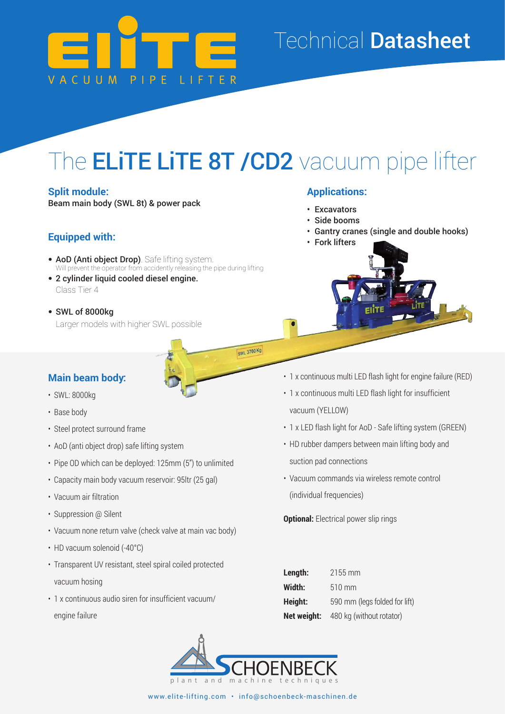

### Technical Datasheet

# The **ELiTE LiTE 8T /CD2** vacuum pipe lifter

**SWL 3700 Kg** 

#### **Split module:**

Beam main body (SWL 8t) & power pack

#### **Equipped with:**

- **AoD (Anti object Drop)**. Safe lifting system. Will prevent the operator from accidently releasing the pipe during lifting
- 2 cylinder liquid cooled diesel engine. Class Tier 4
- SWL of 8000kg Larger models with higher SWL possible

#### **Applications:**

- Excavators
- Side booms
- Gantry cranes (single and double hooks)
- Fork lifters



#### **Main beam body:**

- SWL: 8000kg
- Base body
- Steel protect surround frame
- AoD (anti object drop) safe lifting system
- Pipe OD which can be deployed: 125mm (5") to unlimited
- Capacity main body vacuum reservoir: 95ltr (25 gal)
- Vacuum air filtration
- Suppression @ Silent
- Vacuum none return valve (check valve at main vac body)
- HD vacuum solenoid (-40°C)
- Transparent UV resistant, steel spiral coiled protected vacuum hosing
- 1 x continuous audio siren for insufficient vacuum/ engine failure
- 1 x continuous multi LED flash light for engine failure (RED)
- 1 x continuous multi LED flash light for insufficient vacuum (YELLOW)
- 1 x LED flash light for AoD Safe lifting system (GREEN)
- HD rubber dampers between main lifting body and suction pad connections
- Vacuum commands via wireless remote control (individual frequencies)

**Optional:** Electrical power slip rings

| Length:     | $2155 \,\mathrm{mm}$          |
|-------------|-------------------------------|
| Width:      | $510 \text{ mm}$              |
| Height:     | 590 mm (legs folded for lift) |
| Net weight: | 480 kg (without rotator)      |